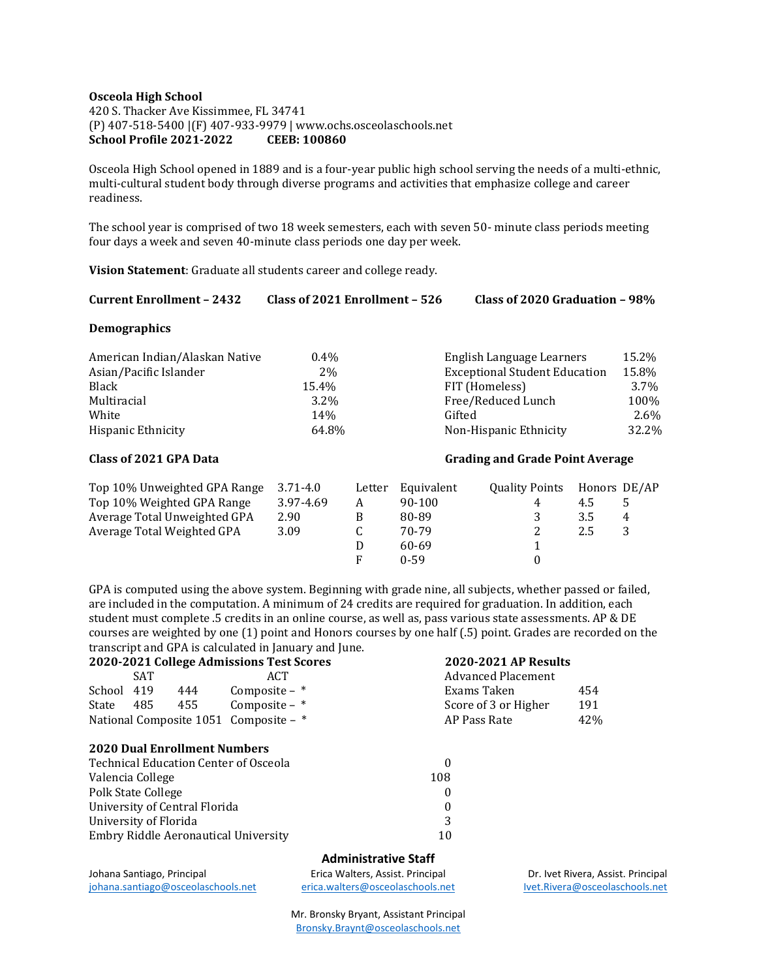# **Osceola High School** 420 S. Thacker Ave Kissimmee, FL 34741 (P) 407-518-5400 |(F) 407-933-9979 | www.ochs.osceolaschools.net **School Profile 2021-2022 CEEB: 100860**

Osceola High School opened in 1889 and is a four-year public high school serving the needs of a multi-ethnic, multi-cultural student body through diverse programs and activities that emphasize college and career readiness.

The school year is comprised of two 18 week semesters, each with seven 50- minute class periods meeting four days a week and seven 40-minute class periods one day per week.

**Vision Statement**: Graduate all students career and college ready.

#### **Demographics**

| American Indian/Alaskan Native | $0.4\%$         | English Language Learners            | 15.2% |
|--------------------------------|-----------------|--------------------------------------|-------|
| Asian/Pacific Islander         | 2%              | <b>Exceptional Student Education</b> | 15.8% |
| <b>Black</b>                   | 15.4%           | FIT (Homeless)                       | 3.7%  |
| Multiracial                    | $3.2\%$         | Free/Reduced Lunch                   | 100%  |
| White                          | 14 <sub>%</sub> | Gifted                               | 2.6%  |
| Hispanic Ethnicity             | 64.8%           | Non-Hispanic Ethnicity               | 32.2% |

# **Class of 2021 GPA Data Grading and Grade Point Average**

| Top 10% Unweighted GPA Range | $3.71 - 4.0$ | Letter | Equivalent | <b>Quality Points</b> |     | Honors DE/AP |
|------------------------------|--------------|--------|------------|-----------------------|-----|--------------|
| Top 10% Weighted GPA Range   | 3.97-4.69    |        | 90-100     | 4                     | 4.5 |              |
| Average Total Unweighted GPA | 2.90         | B      | 80-89      |                       | 3.5 | 4            |
| Average Total Weighted GPA   | 3.09         |        | 70-79      |                       | 2.5 | 3            |
|                              |              |        | 60-69      |                       |     |              |
|                              |              | F      | $0 - 59$   |                       |     |              |

GPA is computed using the above system. Beginning with grade nine, all subjects, whether passed or failed, are included in the computation. A minimum of 24 credits are required for graduation. In addition, each student must complete .5 credits in an online course, as well as, pass various state assessments. AP & DE courses are weighted by one (1) point and Honors courses by one half (.5) point. Grades are recorded on the transcript and GPA is calculated in January and June.

| 2020-2021 College Admissions Test Scores     |       |                  |                                     | <b>2020-2021 AP Results</b> |     |
|----------------------------------------------|-------|------------------|-------------------------------------|-----------------------------|-----|
|                                              | SAT   |                  | ACT                                 | <b>Advanced Placement</b>   |     |
| School 419                                   |       | 444              | Composite $-$ *                     | Exams Taken                 | 454 |
| State                                        | 485 — | 455              | Composite $-$ *                     | Score of 3 or Higher        | 191 |
| National Composite 1051 Composite - *        |       |                  | AP Pass Rate                        | 42%                         |     |
|                                              |       |                  | <b>2020 Dual Enrollment Numbers</b> |                             |     |
| <b>Technical Education Center of Osceola</b> |       | 0                |                                     |                             |     |
| Valencia College                             |       |                  |                                     | 108                         |     |
| Polk State College                           |       | $\boldsymbol{0}$ |                                     |                             |     |
| University of Central Florida                |       | $\boldsymbol{0}$ |                                     |                             |     |
| University of Florida                        |       | 3                |                                     |                             |     |
| Embry Riddle Aeronautical University         |       |                  | 10                                  |                             |     |
|                                              |       |                  |                                     |                             |     |

# **Administrative Staff**

Johana Santiago, Principal Erica Walters, Assist. Principal Dr. Ivet Rivera, Assist. Principal [johana.santiago@osceolaschools.net](mailto:johana.santiago@osceolaschools.net) [erica.walters@osceolaschools.net](mailto:erica.walters@osceolaschools.net) [Ivet.Rivera@osceolaschools.net](mailto:Ivet.Rivera@osceolaschools.net)

Mr. Bronsky Bryant, Assistant Principal [Bronsky.Braynt@osceolaschools.net](mailto:Bronsky.Braynt@osceolaschools.net)